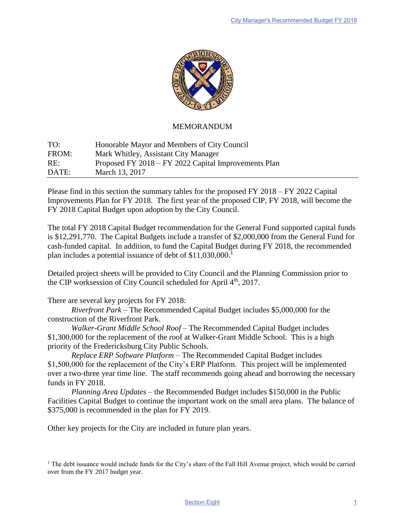

## MEMORANDUM

TO: Honorable Mayor and Members of City Council FROM: Mark Whitley, Assistant City Manager RE: Proposed FY 2018 – FY 2022 Capital Improvements Plan DATE: March 13, 2017

Please find in this section the summary tables for the proposed FY 2018 – FY 2022 Capital Improvements Plan for FY 2018. The first year of the proposed CIP, FY 2018, will become the FY 2018 Capital Budget upon adoption by the City Council.

The total FY 2018 Capital Budget recommendation for the General Fund supported capital funds is \$12,291,770. The Capital Budgets include a transfer of \$2,000,000 from the General Fund for cash-funded capital. In addition, to fund the Capital Budget during FY 2018, the recommended plan includes a potential issuance of debt of \$11,030,000.<sup>1</sup>

Detailed project sheets will be provided to City Council and the Planning Commission prior to the CIP worksession of City Council scheduled for April 4<sup>th</sup>, 2017.

There are several key projects for FY 2018:

*Riverfront Park* – The Recommended Capital Budget includes \$5,000,000 for the construction of the Riverfront Park.

*Walker-Grant Middle School Roof* – The Recommended Capital Budget includes \$1,300,000 for the replacement of the roof at Walker-Grant Middle School. This is a high priority of the Fredericksburg City Public Schools.

*Replace ERP Software Platform* – The Recommended Capital Budget includes \$1,500,000 for the replacement of the City's ERP Platform. This project will be implemented over a two-three year time line. The staff recommends going ahead and borrowing the necessary funds in FY 2018.

*Planning Area Updates* – the Recommended Budget includes \$150,000 in the Public Facilities Capital Budget to continue the important work on the small area plans. The balance of \$375,000 is recommended in the plan for FY 2019.

Other key projects for the City are included in future plan years.

<sup>1</sup> The debt issuance would include funds for the City's share of the Fall Hill Avenue project, which would be carried over from the FY 2017 budget year.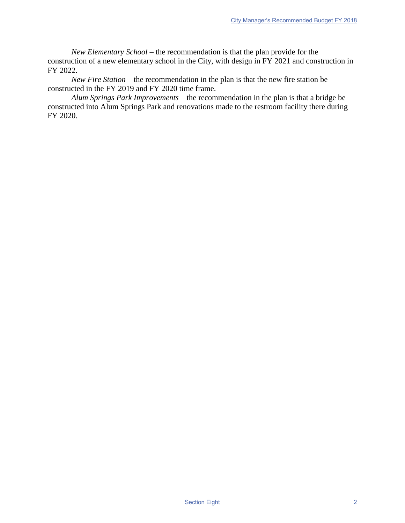*New Elementary School* – the recommendation is that the plan provide for the construction of a new elementary school in the City, with design in FY 2021 and construction in FY 2022.

*New Fire Station* – the recommendation in the plan is that the new fire station be constructed in the FY 2019 and FY 2020 time frame.

*Alum Springs Park Improvements* – the recommendation in the plan is that a bridge be constructed into Alum Springs Park and renovations made to the restroom facility there during FY 2020.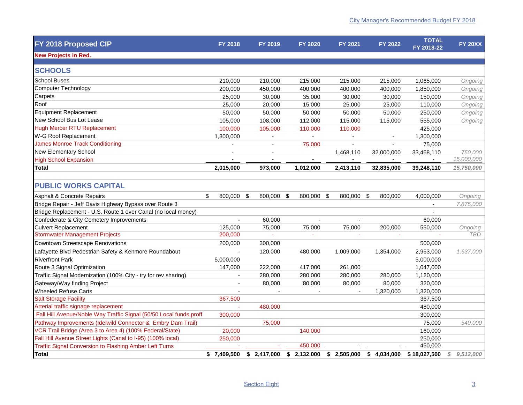| FY 2018 Proposed CIP                                               | <b>FY 2018</b>           | <b>FY 2019</b> | <b>FY 2020</b>           | <b>FY 2021</b>           | <b>FY 2022</b> | <b>TOTAL</b><br>FY 2018-22 | <b>FY 20XX</b>  |
|--------------------------------------------------------------------|--------------------------|----------------|--------------------------|--------------------------|----------------|----------------------------|-----------------|
| <b>New Projects in Red.</b>                                        |                          |                |                          |                          |                |                            |                 |
| <b>SCHOOLS</b>                                                     |                          |                |                          |                          |                |                            |                 |
| <b>School Buses</b>                                                | 210,000                  | 210,000        | 215,000                  | 215,000                  | 215,000        | 1,065,000                  | Ongoing         |
| <b>Computer Technology</b>                                         | 200,000                  | 450,000        | 400,000                  | 400,000                  | 400,000        | 1,850,000                  | Ongoing         |
| Carpets                                                            | 25,000                   | 30,000         | 35,000                   | 30,000                   | 30,000         | 150,000                    | Ongoing         |
| Roof                                                               | 25,000                   | 20,000         | 15,000                   | 25,000                   | 25,000         | 110,000                    | Ongoing         |
| <b>Equipment Replacement</b>                                       | 50,000                   | 50,000         | 50,000                   | 50,000                   | 50,000         | 250,000                    | Ongoing         |
| New School Bus Lot Lease                                           | 105,000                  | 108,000        | 112,000                  | 115,000                  | 115,000        | 555,000                    | Ongoing         |
| <b>Hugh Mercer RTU Replacement</b>                                 | 100,000                  | 105,000        | 110,000                  | 110,000                  |                | 425,000                    |                 |
| W-G Roof Replacement                                               | 1,300,000                |                |                          | $\sim$                   |                | 1,300,000                  |                 |
| <b>James Monroe Track Conditioning</b>                             |                          |                | 75,000                   | $\mathbf{r}$             |                | 75,000                     |                 |
| <b>New Elementary School</b>                                       |                          |                |                          | 1,468,110                | 32,000,000     | 33,468,110                 | 750,000         |
| <b>High School Expansion</b>                                       | $\overline{\phantom{a}}$ | $\blacksquare$ | $\overline{\phantom{a}}$ | $\overline{\phantom{a}}$ |                | $\blacksquare$             | 15,000,000      |
| <b>Total</b>                                                       | 2,015,000                | 973,000        | 1,012,000                | 2,413,110                | 32,835,000     | 39,248,110                 | 15,750,000      |
|                                                                    |                          |                |                          |                          |                |                            |                 |
| <b>PUBLIC WORKS CAPITAL</b>                                        |                          |                |                          |                          |                |                            |                 |
| Asphalt & Concrete Repairs                                         | \$<br>800,000 \$         | 800,000 \$     | 800,000 \$               | 800,000 \$               | 800,000        | 4,000,000                  | Ongoing         |
| Bridge Repair - Jeff Davis Highway Bypass over Route 3             |                          |                |                          |                          |                |                            | 7,875,000       |
| Bridge Replacement - U.S. Route 1 over Canal (no local money)      |                          |                |                          |                          |                | $\overline{a}$             |                 |
| Confederate & City Cemetery Improvements                           |                          | 60,000         | $\overline{\phantom{a}}$ |                          |                | 60,000                     |                 |
| <b>Culvert Replacement</b>                                         | 125,000                  | 75,000         | 75,000                   | 75,000                   | 200,000        | 550,000                    | Ongoing         |
| <b>Stormwater Management Projects</b>                              | 200,000                  | $\omega$       |                          |                          |                |                            | <b>TBD</b>      |
| Downtown Streetscape Renovations                                   | 200,000                  | 300,000        |                          |                          |                | 500,000                    |                 |
| Lafayette Blvd Pedestrian Safety & Kenmore Roundabout              |                          | 120,000        | 480,000                  | 1,009,000                | 1,354,000      | 2,963,000                  | 1,637,000       |
| <b>Riverfront Park</b>                                             | 5,000,000                | ÷,             |                          | $\sim$                   |                | 5,000,000                  |                 |
| Route 3 Signal Optimization                                        | 147,000                  | 222,000        | 417,000                  | 261,000                  |                | 1,047,000                  |                 |
| Traffic Signal Modernization (100% City - try for rev sharing)     |                          | 280,000        | 280,000                  | 280,000                  | 280,000        | 1,120,000                  |                 |
| Gateway/Way finding Project                                        | ä,                       | 80,000         | 80,000                   | 80,000                   | 80,000         | 320,000                    |                 |
| <b>Wheeled Refuse Carts</b>                                        |                          |                |                          |                          | 1,320,000      | 1,320,000                  |                 |
| <b>Salt Storage Facility</b>                                       | 367,500                  |                |                          |                          |                | 367,500                    |                 |
| Arterial traffic signage replacement                               |                          | 480,000        |                          |                          |                | 480,000                    |                 |
| Fall Hill Avenue/Noble Way Traffic Signal (50/50 Local funds proff | 300,000                  |                |                          |                          |                | 300,000                    |                 |
| Pathway Improvements (Idelwild Connector & Embry Dam Trail)        |                          | 75,000         |                          |                          |                | 75,000                     | 540,000         |
| VCR Trail Bridge (Area 3 to Area 4) (100% Federal/State)           | 20,000                   |                | 140,000                  |                          |                | 160,000                    |                 |
| Fall Hill Avenue Street Lights (Canal to I-95) (100% local)        | 250,000                  |                |                          |                          |                | 250,000                    |                 |
| <b>Traffic Signal Conversion to Flashing Amber Left Turns</b>      |                          |                | 450,000                  |                          |                | 450,000                    |                 |
| <b>Total</b>                                                       | \$7,409,500              | \$2,417,000    | \$2,132,000              | \$2,505,000              | \$4,034,000    | \$18,027,500               | 9,512,000<br>\$ |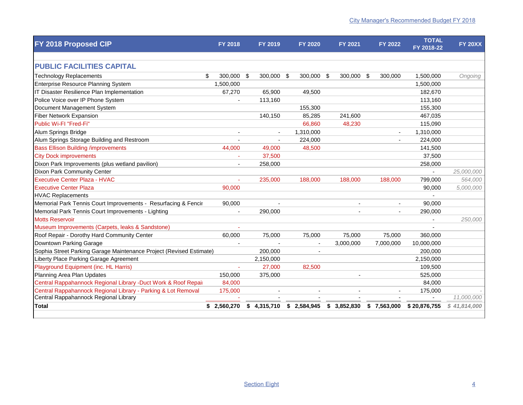| FY 2018 Proposed CIP                                                | <b>FY 2018</b> | <b>FY 2019</b>   | <b>FY 2020</b> | <b>FY 2021</b> | <b>FY 2022</b>  | <b>TOTAL</b><br>FY 2018-22 | <b>FY 20XX</b> |
|---------------------------------------------------------------------|----------------|------------------|----------------|----------------|-----------------|----------------------------|----------------|
|                                                                     |                |                  |                |                |                 |                            |                |
| <b>PUBLIC FACILITIES CAPITAL</b>                                    |                |                  |                |                |                 |                            |                |
| \$<br><b>Technology Replacements</b>                                | 300.000        | 300.000 \$<br>\$ | 300.000 \$     | 300.000        | - \$<br>300,000 | 1,500,000                  | Ongoing        |
| Enterprise Resource Planning System                                 | 1,500,000      |                  |                |                |                 | 1,500,000                  |                |
| IT Disaster Resilience Plan Implementation                          | 67,270         | 65,900           | 49,500         |                |                 | 182,670                    |                |
| Police Voice over IP Phone System                                   |                | 113,160          |                |                |                 | 113,160                    |                |
| Document Management System                                          |                |                  | 155,300        |                |                 | 155,300                    |                |
| <b>Fiber Network Expansion</b>                                      |                | 140,150          | 85,285         | 241,600        |                 | 467,035                    |                |
| Public Wi-FI "Fred-Fi"                                              |                |                  | 66,860         | 48,230         |                 | 115,090                    |                |
| Alum Springs Bridge                                                 |                |                  | 1,310,000      |                |                 | 1,310,000                  |                |
| Alum Springs Storage Building and Restroom                          |                |                  | 224,000        |                |                 | 224,000                    |                |
| <b>Bass Ellison Building /improvements</b>                          | 44,000         | 49,000           | 48,500         |                |                 | 141,500                    |                |
| <b>City Dock improvements</b>                                       |                | 37,500           |                |                |                 | 37,500                     |                |
| Dixon Park Improvements (plus wetland pavilion)                     |                | 258,000          |                |                |                 | 258,000                    |                |
| Dixon Park Community Center                                         |                |                  |                |                |                 |                            | 25,000,000     |
| <b>Executive Center Plaza - HVAC</b>                                |                | 235,000          | 188,000        | 188,000        | 188,000         | 799,000                    | 564,000        |
| <b>Executive Center Plaza</b>                                       | 90,000         |                  |                |                |                 | 90,000                     | 5,000,000      |
| <b>HVAC Replacements</b>                                            |                |                  |                |                |                 |                            |                |
| Memorial Park Tennis Court Improvements - Resurfacing & Fencir      | 90,000         |                  |                |                |                 | 90,000                     |                |
| Memorial Park Tennis Court Improvements - Lighting                  |                | 290,000          |                |                |                 | 290,000                    |                |
| <b>Motts Reservoir</b>                                              |                |                  |                |                |                 |                            | 250,000        |
| Museum Improvements (Carpets, leaks & Sandstone)                    |                |                  |                |                |                 |                            |                |
| Roof Repair - Dorothy Hard Community Center                         | 60,000         | 75,000           | 75,000         | 75,000         | 75,000          | 360,000                    |                |
| Downtown Parking Garage                                             |                |                  |                | 3,000,000      | 7,000,000       | 10,000,000                 |                |
| Sophia Street Parking Garage Maintenance Project (Revised Estimate) |                | 200,000          | $\blacksquare$ |                |                 | 200,000                    |                |
| Liberty Place Parking Garage Agreement                              |                | 2,150,000        |                |                |                 | 2,150,000                  |                |
| Playground Equipment (inc. HL Harris)                               |                | 27,000           | 82,500         |                |                 | 109,500                    |                |
| Planning Area Plan Updates                                          | 150,000        | 375,000          |                |                |                 | 525,000                    |                |
| Central Rappahannock Regional Library -Duct Work & Roof Repair      | 84,000         |                  |                |                |                 | 84,000                     |                |
| Central Rappahannock Regional Library - Parking & Lot Removal       | 175,000        |                  |                |                |                 | 175,000                    |                |
| Central Rappahannock Regional Library                               |                |                  |                |                |                 |                            | 11,000,000     |
| <b>Total</b>                                                        | \$2,560,270    | \$4,315,710      | \$2,584,945    | \$3,852,830    | \$7,563,000     | \$20,876,755               | \$41,814,000   |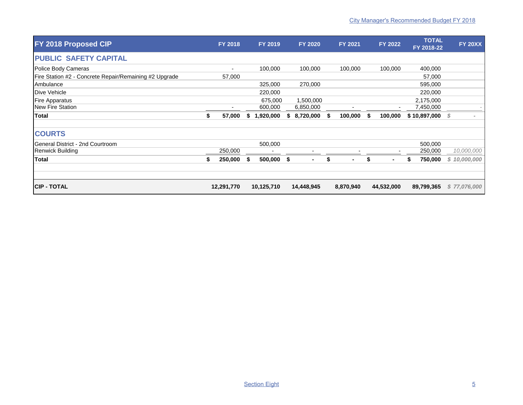| FY 2018 Proposed CIP                                   |    | <b>FY 2018</b> |     | FY 2019    |    | <b>FY 2020</b> |     | <b>FY 2021</b> | FY 2022       |   | <b>TOTAL</b><br>FY 2018-22 | <b>FY 20XX</b> |
|--------------------------------------------------------|----|----------------|-----|------------|----|----------------|-----|----------------|---------------|---|----------------------------|----------------|
| <b>PUBLIC SAFETY CAPITAL</b>                           |    |                |     |            |    |                |     |                |               |   |                            |                |
| Police Body Cameras                                    |    | ٠              |     | 100,000    |    | 100,000        |     | 100,000        | 100,000       |   | 400,000                    |                |
| Fire Station #2 - Concrete Repair/Remaining #2 Upgrade |    | 57,000         |     |            |    |                |     |                |               |   | 57,000                     |                |
| Ambulance                                              |    |                |     | 325,000    |    | 270,000        |     |                |               |   | 595,000                    |                |
| Dive Vehicle                                           |    |                |     | 220,000    |    |                |     |                |               |   | 220,000                    |                |
| <b>Fire Apparatus</b>                                  |    |                |     | 675,000    |    | 1,500,000      |     |                |               |   | 2,175,000                  |                |
| New Fire Station                                       |    |                |     | 600,000    |    | 6,850,000      |     |                |               |   | 7,450,000                  |                |
| <b>Total</b>                                           | \$ | 57,000         | S   | 1,920,000  | S. | 8,720,000      | -56 | 100,000        | \$<br>100,000 |   | \$10,897,000               | - \$           |
| <b>COURTS</b>                                          |    |                |     |            |    |                |     |                |               |   |                            |                |
| General District - 2nd Courtroom                       |    |                |     | 500,000    |    |                |     |                |               |   | 500,000                    |                |
| <b>Renwick Building</b>                                |    | 250,000        |     |            |    |                |     |                |               |   | 250,000                    | 10,000,000     |
| <b>Total</b>                                           | S  | 250,000        | -\$ | 500,000    | \$ | $\blacksquare$ | S   | ۰              | \$            | S | 750,000                    | \$10,000,000   |
|                                                        |    |                |     |            |    |                |     |                |               |   |                            |                |
| <b>CIP - TOTAL</b>                                     |    | 12,291,770     |     | 10,125,710 |    | 14,448,945     |     | 8,870,940      | 44,532,000    |   | 89,799,365                 | \$77,076,000   |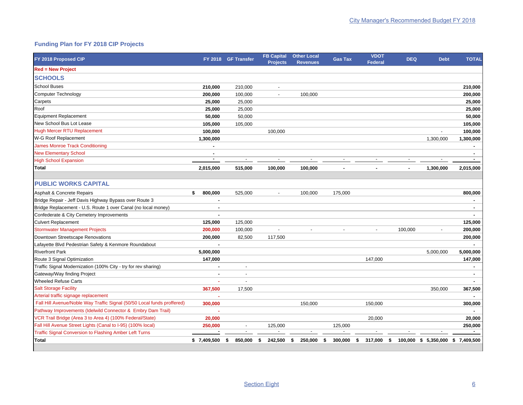## **Funding Plan for FY 2018 CIP Projects**

| FY 2018 Proposed CIP                                                    |                | FY 2018 GF Transfer      | <b>FB Capital</b><br><b>Projects</b> | <b>Other Local</b><br><b>Revenues</b> | <b>Gas Tax</b>           | <b>VDOT</b><br>Federal | <b>DEQ</b>    | <b>Debt</b>    | <b>TOTAL</b>             |
|-------------------------------------------------------------------------|----------------|--------------------------|--------------------------------------|---------------------------------------|--------------------------|------------------------|---------------|----------------|--------------------------|
| <b>Red = New Project</b>                                                |                |                          |                                      |                                       |                          |                        |               |                |                          |
| <b>SCHOOLS</b>                                                          |                |                          |                                      |                                       |                          |                        |               |                |                          |
| <b>School Buses</b>                                                     | 210,000        | 210,000                  | $\sim$                               |                                       |                          |                        |               |                | 210,000                  |
| <b>Computer Technology</b>                                              | 200,000        | 100,000                  | $\blacksquare$                       | 100,000                               |                          |                        |               |                | 200,000                  |
| Carpets                                                                 | 25.000         | 25,000                   |                                      |                                       |                          |                        |               |                | 25,000                   |
| Roof                                                                    | 25.000         | 25,000                   |                                      |                                       |                          |                        |               |                | 25,000                   |
| <b>Equipment Replacement</b>                                            | 50,000         | 50,000                   |                                      |                                       |                          |                        |               |                | 50,000                   |
| New School Bus Lot Lease                                                | 105,000        | 105,000                  |                                      |                                       |                          |                        |               |                | 105,000                  |
| <b>Hugh Mercer RTU Replacement</b>                                      | 100,000        |                          | 100,000                              |                                       |                          |                        |               |                | 100,000                  |
| W-G Roof Replacement                                                    | 1,300,000      |                          |                                      |                                       |                          |                        |               | 1,300,000      | 1,300,000                |
| <b>James Monroe Track Conditioning</b>                                  | $\sim$         |                          |                                      |                                       |                          |                        |               |                |                          |
| <b>New Elementary School</b>                                            | ٠              |                          |                                      |                                       |                          |                        |               |                | $\sim$                   |
| <b>High School Expansion</b>                                            | $\sim$         |                          |                                      |                                       |                          |                        |               |                |                          |
| Total                                                                   | 2,015,000      | 515,000                  | 100,000                              | 100.000                               |                          |                        |               | 1,300,000      | 2,015,000                |
|                                                                         |                |                          |                                      |                                       |                          |                        |               |                |                          |
| <b>PUBLIC WORKS CAPITAL</b>                                             |                |                          |                                      |                                       |                          |                        |               |                |                          |
| <b>Asphalt &amp; Concrete Repairs</b>                                   | \$<br>800,000  | 525,000                  | $\overline{\phantom{a}}$             | 100,000                               | 175,000                  |                        |               |                | 800,000                  |
| Bridge Repair - Jeff Davis Highway Bypass over Route 3                  | $\blacksquare$ |                          |                                      |                                       |                          |                        |               |                | $\sim$                   |
| Bridge Replacement - U.S. Route 1 over Canal (no local money)           | ٠              |                          |                                      |                                       |                          |                        |               |                | $\overline{\phantom{a}}$ |
| Confederate & City Cemetery Improvements                                |                |                          |                                      |                                       |                          |                        |               |                |                          |
| <b>Culvert Replacement</b>                                              | 125,000        | 125,000                  |                                      |                                       |                          |                        |               |                | 125,000                  |
| <b>Stormwater Management Projects</b>                                   | 200,000        | 100,000                  | $\overline{\phantom{a}}$             | $\sim$                                | $\overline{a}$           | $\sim$                 | 100,000       | $\blacksquare$ | 200,000                  |
| Downtown Streetscape Renovations                                        | 200,000        | 82,500                   | 117,500                              |                                       |                          |                        |               |                | 200,000                  |
| Lafayette Blvd Pedestrian Safety & Kenmore Roundabout                   |                |                          |                                      |                                       |                          |                        |               |                |                          |
| <b>Riverfront Park</b>                                                  | 5,000,000      |                          |                                      |                                       |                          |                        |               | 5,000,000      | 5,000,000                |
| Route 3 Signal Optimization                                             | 147,000        |                          |                                      |                                       |                          | 147,000                |               |                | 147,000                  |
| Traffic Signal Modernization (100% City - try for rev sharing)          |                |                          |                                      |                                       |                          |                        |               |                |                          |
| Gateway/Way finding Project                                             | ٠              | $\overline{a}$           |                                      |                                       |                          |                        |               |                | $\sim$                   |
| <b>Wheeled Refuse Carts</b>                                             | ٠              |                          |                                      |                                       |                          |                        |               |                | $\sim$                   |
| <b>Salt Storage Facility</b>                                            | 367,500        | 17,500                   |                                      |                                       |                          |                        |               | 350,000        | 367,500                  |
| Arterial traffic signage replacement                                    |                |                          |                                      |                                       |                          |                        |               |                |                          |
| Fall Hill Avenue/Noble Way Traffic Signal (50/50 Local funds proffered) | 300,000        |                          |                                      | 150,000                               |                          | 150,000                |               |                | 300,000                  |
| Pathway Improvements (Idelwild Connector & Embry Dam Trail)             |                |                          |                                      |                                       |                          |                        |               |                |                          |
| VCR Trail Bridge (Area 3 to Area 4) (100% Federal/State)                | 20,000         |                          |                                      |                                       |                          | 20,000                 |               |                | 20,000                   |
| Fall Hill Avenue Street Lights (Canal to I-95) (100% local)             | 250,000        | $\sim$                   | 125,000                              |                                       | 125,000                  |                        |               |                | 250,000                  |
| <b>Traffic Signal Conversion to Flashing Amber Left Turns</b>           | $\blacksquare$ | $\overline{\phantom{a}}$ | $\overline{\phantom{a}}$             | $\overline{\phantom{a}}$              | $\overline{\phantom{a}}$ |                        |               |                | $\sim$                   |
| Total                                                                   | \$7,409,500    | 850,000<br>s.            | 242,500<br>\$                        | \$<br>250,000                         | 300,000<br>Ŝ.            | \$<br>317,000          | 100,000<br>\$ | \$5,350,000    | \$7,409,500              |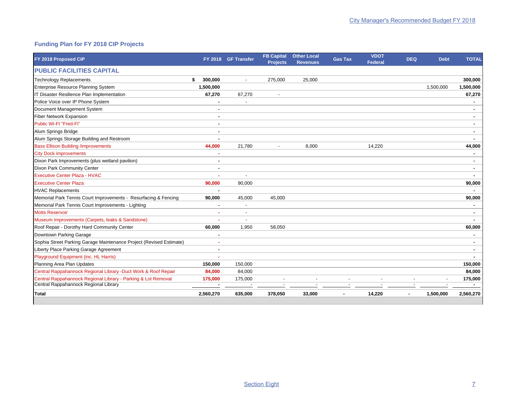## **Funding Plan for FY 2018 CIP Projects**

| FY 2018 Proposed CIP                                                |               | FY 2018 GF Transfer | <b>FB Capital</b><br><b>Projects</b> | <b>Other Local</b><br><b>Revenues</b> | <b>Gas Tax</b> | <b>VDOT</b><br><b>Federal</b> | <b>DEQ</b> | <b>Debt</b> | <b>TOTAL</b> |
|---------------------------------------------------------------------|---------------|---------------------|--------------------------------------|---------------------------------------|----------------|-------------------------------|------------|-------------|--------------|
| <b>PUBLIC FACILITIES CAPITAL</b>                                    |               |                     |                                      |                                       |                |                               |            |             |              |
| <b>Technology Replacements</b>                                      | 300,000<br>\$ |                     | 275,000                              | 25,000                                |                |                               |            |             | 300,000      |
| Enterprise Resource Planning System                                 | 1,500,000     |                     |                                      |                                       |                |                               |            | 1,500,000   | 1,500,000    |
| IT Disaster Resilience Plan Implementation                          | 67,270        | 67,270              | $\overline{\phantom{a}}$             |                                       |                |                               |            |             | 67,270       |
| Police Voice over IP Phone System                                   |               |                     |                                      |                                       |                |                               |            |             |              |
| Document Management System                                          | ٠             |                     |                                      |                                       |                |                               |            |             |              |
| Fiber Network Expansion                                             |               |                     |                                      |                                       |                |                               |            |             |              |
| Public Wi-FI "Fred-Fi"                                              | ٠             |                     |                                      |                                       |                |                               |            |             | ٠            |
| Alum Springs Bridge                                                 | ٠             |                     |                                      |                                       |                |                               |            |             | ٠            |
| Alum Springs Storage Building and Restroom                          | ä,            |                     |                                      |                                       |                |                               |            |             |              |
| <b>Bass Ellison Building /improvements</b>                          | 44,000        | 21,780              |                                      | 8,000                                 |                | 14,220                        |            |             | 44,000       |
| <b>City Dock improvements</b>                                       |               |                     |                                      |                                       |                |                               |            |             |              |
| Dixon Park Improvements (plus wetland pavilion)                     | ٠             |                     |                                      |                                       |                |                               |            |             | ٠            |
| Dixon Park Community Center                                         | ٠             |                     |                                      |                                       |                |                               |            |             | ۰            |
| <b>Executive Center Plaza - HVAC</b>                                |               | $\overline{a}$      |                                      |                                       |                |                               |            |             |              |
| <b>Executive Center Plaza</b>                                       | 90,000        | 90,000              |                                      |                                       |                |                               |            |             | 90,000       |
| <b>HVAC Replacements</b>                                            |               |                     |                                      |                                       |                |                               |            |             |              |
| Memorial Park Tennis Court Improvements - Resurfacing & Fencing     | 90,000        | 45,000              | 45,000                               |                                       |                |                               |            |             | 90,000       |
| Memorial Park Tennis Court Improvements - Lighting                  | ٠             | $\blacksquare$      |                                      |                                       |                |                               |            |             |              |
| <b>Motts Reservoir</b>                                              |               |                     |                                      |                                       |                |                               |            |             |              |
| Museum Improvements (Carpets, leaks & Sandstone)                    |               |                     |                                      |                                       |                |                               |            |             |              |
| Roof Repair - Dorothy Hard Community Center                         | 60,000        | 1,950               | 58,050                               |                                       |                |                               |            |             | 60,000       |
| Downtown Parking Garage                                             | ٠             |                     |                                      |                                       |                |                               |            |             |              |
| Sophia Street Parking Garage Maintenance Project (Revised Estimate) | ٠             |                     |                                      |                                       |                |                               |            |             | ۰            |
| Liberty Place Parking Garage Agreement                              |               |                     |                                      |                                       |                |                               |            |             |              |
| Playground Equipment (inc. HL Harris)                               | ۰             |                     |                                      |                                       |                |                               |            |             |              |
| Planning Area Plan Updates                                          | 150,000       | 150,000             |                                      |                                       |                |                               |            |             | 150,000      |
| Central Rappahannock Regional Library -Duct Work & Roof Repair      | 84,000        | 84,000              |                                      |                                       |                |                               |            |             | 84,000       |
| Central Rappahannock Regional Library - Parking & Lot Removal       | 175,000       | 175,000             |                                      |                                       |                |                               |            |             | 175,000      |
| Central Rappahannock Regional Library                               |               |                     |                                      |                                       |                |                               |            |             |              |
| Total                                                               | 2,560,270     | 635,000             | 378,050                              | 33,000                                |                | 14,220                        |            | 1,500,000   | 2,560,270    |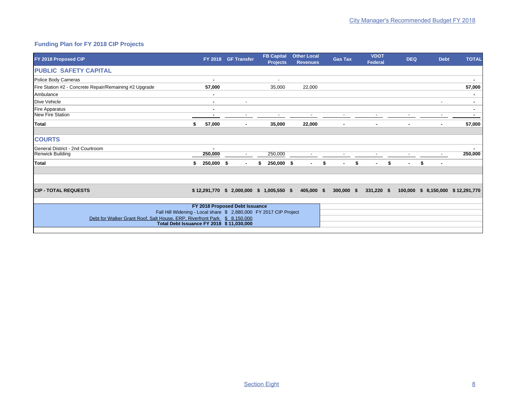## **Funding Plan for FY 2018 CIP Projects**

| FY 2018 Proposed CIP                                                      |                  | FY 2018 GF Transfer            | <b>FB Capital</b><br><b>Projects</b>        | <b>Other Local</b><br><b>Revenues</b> | <b>Gas Tax</b>       | <b>VDOT</b><br>Federal | <b>DEQ</b>   | <b>Debt</b>                        | <b>TOTAL</b> |
|---------------------------------------------------------------------------|------------------|--------------------------------|---------------------------------------------|---------------------------------------|----------------------|------------------------|--------------|------------------------------------|--------------|
| <b>PUBLIC SAFETY CAPITAL</b>                                              |                  |                                |                                             |                                       |                      |                        |              |                                    |              |
| Police Body Cameras                                                       | ٠                |                                | $\overline{\phantom{a}}$                    |                                       |                      |                        |              |                                    | ٠            |
| Fire Station #2 - Concrete Repair/Remaining #2 Upgrade                    | 57,000           |                                | 35,000                                      | 22,000                                |                      |                        |              |                                    | 57,000       |
| Ambulance                                                                 |                  |                                |                                             |                                       |                      |                        |              |                                    |              |
| Dive Vehicle                                                              | ۰                |                                |                                             |                                       |                      |                        |              |                                    |              |
| Fire Apparatus                                                            | ۰                |                                |                                             |                                       |                      |                        |              |                                    | ۰            |
| <b>New Fire Station</b>                                                   |                  |                                |                                             | $\overline{\phantom{a}}$              |                      |                        |              |                                    |              |
| <b>Total</b>                                                              | \$<br>57,000     | $\blacksquare$                 | 35,000                                      | 22,000                                | ٠                    | ٠                      | ٠            |                                    | 57,000       |
| <b>COURTS</b>                                                             |                  |                                |                                             |                                       |                      |                        |              |                                    |              |
| General District - 2nd Courtroom                                          | $\blacksquare$   |                                |                                             |                                       |                      |                        |              |                                    | $\sim$       |
| <b>Renwick Building</b>                                                   | 250,000          |                                | 250,000                                     |                                       |                      |                        |              |                                    | 250,000      |
| Total                                                                     | \$<br>250,000 \$ | $\blacksquare$                 | \$<br>250,000 \$                            | $\blacksquare$                        | \$<br>$\blacksquare$ | \$<br>$\blacksquare$   | \$<br>$\sim$ | \$<br>$\overline{\phantom{a}}$     |              |
|                                                                           |                  |                                |                                             |                                       |                      |                        |              |                                    |              |
| <b>CIP - TOTAL REQUESTS</b>                                               |                  |                                | $$12,291,770$ $$2,000,000$ $$1,005,550$ $$$ | 405,000 \$                            | $300,000$ \$         | $331,220$ \$           |              | 100,000 \$ 8,150,000 \$ 12,291,770 |              |
|                                                                           |                  |                                |                                             |                                       |                      |                        |              |                                    |              |
| Fall Hill Widening - Local share \$ 2,880,000 FY 2017 CIP Project         |                  | FY 2018 Proposed Debt Issuance |                                             |                                       |                      |                        |              |                                    |              |
| Debt for Walker Grant Roof, Salt House, ERP, Riverfront Park \$ 8,150,000 |                  |                                |                                             |                                       |                      |                        |              |                                    |              |
| Total Debt Issuance FY 2018 \$11,030,000                                  |                  |                                |                                             |                                       |                      |                        |              |                                    |              |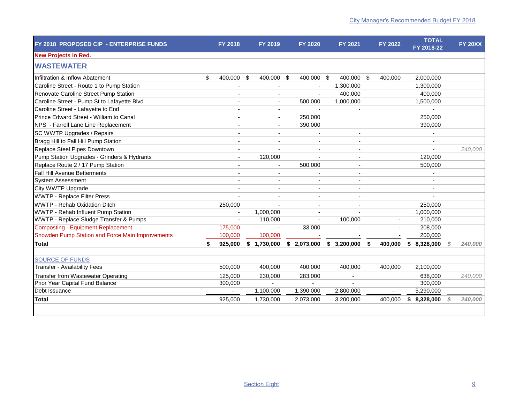| FY 2018 PROPOSED CIP - ENTERPRISE FUNDS          | <b>FY 2018</b>           |     | FY 2019                  | <b>FY 2020</b> | FY 2021        |      | <b>FY 2022</b> | <b>TOTAL</b><br>FY 2018-22 | <b>FY 20XX</b> |
|--------------------------------------------------|--------------------------|-----|--------------------------|----------------|----------------|------|----------------|----------------------------|----------------|
| <b>New Projects in Red.</b>                      |                          |     |                          |                |                |      |                |                            |                |
| <b>WASTEWATER</b>                                |                          |     |                          |                |                |      |                |                            |                |
| Infiltration & Inflow Abatement                  | \$<br>400,000            | -\$ | 400,000 \$               | 400,000 \$     | 400,000 \$     |      | 400,000        | 2,000,000                  |                |
| Caroline Street - Route 1 to Pump Station        |                          |     |                          |                | 1,300,000      |      |                | 1,300,000                  |                |
| Renovate Caroline Street Pump Station            |                          |     |                          | $\overline{a}$ | 400,000        |      |                | 400,000                    |                |
| Caroline Street - Pump St to Lafayette Blvd      |                          |     |                          | 500,000        | 1,000,000      |      |                | 1,500,000                  |                |
| Caroline Street - Lafayette to End               |                          |     |                          |                |                |      |                |                            |                |
| Prince Edward Street - William to Canal          |                          |     | $\blacksquare$           | 250,000        |                |      |                | 250,000                    |                |
| NPS - Farrell Lane Line Replacement              |                          |     |                          | 390,000        |                |      |                | 390,000                    |                |
| SC WWTP Upgrades / Repairs                       |                          |     |                          |                |                |      |                |                            |                |
| Bragg Hill to Fall Hill Pump Station             |                          |     | $\blacksquare$           |                |                |      |                | ٠                          |                |
| Replace Steel Pipes Downtown                     | $\overline{\phantom{a}}$ |     | $\overline{\phantom{a}}$ | $\overline{a}$ | $\overline{a}$ |      |                | $\blacksquare$             | 240,000        |
| Pump Station Upgrades - Grinders & Hydrants      | $\blacksquare$           |     | 120,000                  |                |                |      |                | 120,000                    |                |
| Replace Route 2 / 17 Pump Station                |                          |     |                          | 500,000        |                |      |                | 500,000                    |                |
| <b>Fall Hill Avenue Betterments</b>              |                          |     |                          |                |                |      |                |                            |                |
| <b>System Assessment</b>                         |                          |     |                          |                |                |      |                |                            |                |
| City WWTP Upgrade                                |                          |     |                          |                |                |      |                | $\overline{a}$             |                |
| <b>WWTP - Replace Filter Press</b>               |                          |     |                          |                |                |      |                |                            |                |
| <b>WWTP - Rehab Oxidation Ditch</b>              | 250,000                  |     |                          |                |                |      |                | 250,000                    |                |
| WWTP - Rehab Influent Pump Station               |                          |     | 1,000,000                | $\blacksquare$ |                |      |                | 1,000,000                  |                |
| WWTP - Replace Sludge Transfer & Pumps           |                          |     | 110,000                  |                | 100,000        |      |                | 210,000                    |                |
| <b>Composting - Equipment Replacement</b>        | 175,000                  |     | $\sim$                   | 33,000         |                |      |                | 208,000                    |                |
| Snowden Pump Station and Force Main Improvements | 100.000                  |     | 100.000                  |                |                |      |                | 200,000                    |                |
| Total                                            | \$<br>925,000            |     | \$1,730,000              | \$2,073,000    | \$3,200,000    | - \$ | 400.000        | \$8,328,000                | 240,000        |
| <b>SOURCE OF FUNDS</b>                           |                          |     |                          |                |                |      |                |                            |                |
| <b>Transfer - Availability Fees</b>              | 500,000                  |     | 400,000                  | 400,000        | 400,000        |      | 400,000        | 2,100,000                  |                |
| <b>Transfer from Wastewater Operating</b>        | 125.000                  |     | 230,000                  | 283,000        | $\blacksquare$ |      |                | 638.000                    | 240,000        |
| Prior Year Capital Fund Balance                  | 300,000                  |     |                          |                |                |      |                | 300,000                    |                |
| Debt Issuance                                    |                          |     | 1,100,000                | 1,390,000      | 2,800,000      |      |                | 5,290,000                  |                |
| Total                                            | 925,000                  |     | 1,730,000                | 2,073,000      | 3,200,000      |      | 400,000        | \$8,328,000                | 240,000        |
|                                                  |                          |     |                          |                |                |      |                |                            |                |